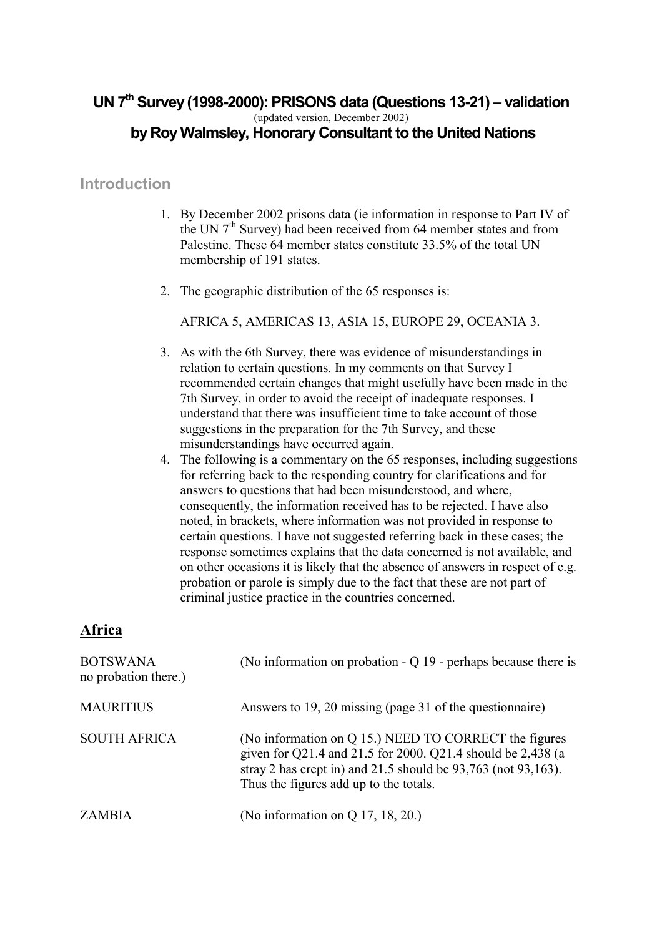## **UN 7th Survey (1998-2000): PRISONS data (Questions 13-21) – validation**  (updated version, December 2002)  **by Roy Walmsley, Honorary Consultant to the United Nations**

## **Introduction**

- 1. By December 2002 prisons data (ie information in response to Part IV of the UN  $7<sup>th</sup>$  Survey) had been received from 64 member states and from Palestine. These 64 member states constitute 33.5% of the total UN membership of 191 states.
- 2. The geographic distribution of the 65 responses is:

AFRICA 5, AMERICAS 13, ASIA 15, EUROPE 29, OCEANIA 3.

- 3. As with the 6th Survey, there was evidence of misunderstandings in relation to certain questions. In my comments on that Survey I recommended certain changes that might usefully have been made in the 7th Survey, in order to avoid the receipt of inadequate responses. I understand that there was insufficient time to take account of those suggestions in the preparation for the 7th Survey, and these misunderstandings have occurred again.
- 4. The following is a commentary on the 65 responses, including suggestions for referring back to the responding country for clarifications and for answers to questions that had been misunderstood, and where, consequently, the information received has to be rejected. I have also noted, in brackets, where information was not provided in response to certain questions. I have not suggested referring back in these cases; the response sometimes explains that the data concerned is not available, and on other occasions it is likely that the absence of answers in respect of e.g. probation or parole is simply due to the fact that these are not part of criminal justice practice in the countries concerned.

## **Africa**

| <b>BOTSWANA</b><br>no probation there.) | (No information on probation $-Q$ 19 - perhaps because there is                                                                                                                                                                        |
|-----------------------------------------|----------------------------------------------------------------------------------------------------------------------------------------------------------------------------------------------------------------------------------------|
| <b>MAURITIUS</b>                        | Answers to 19, 20 missing (page 31 of the questionnaire)                                                                                                                                                                               |
| <b>SOUTH AFRICA</b>                     | (No information on Q 15.) NEED TO CORRECT the figures<br>given for Q21.4 and 21.5 for 2000. Q21.4 should be 2,438 (a<br>stray 2 has crept in) and $21.5$ should be $93,763$ (not $93,163$ ).<br>Thus the figures add up to the totals. |
| <b>ZAMBIA</b>                           | (No information on Q 17, 18, 20.)                                                                                                                                                                                                      |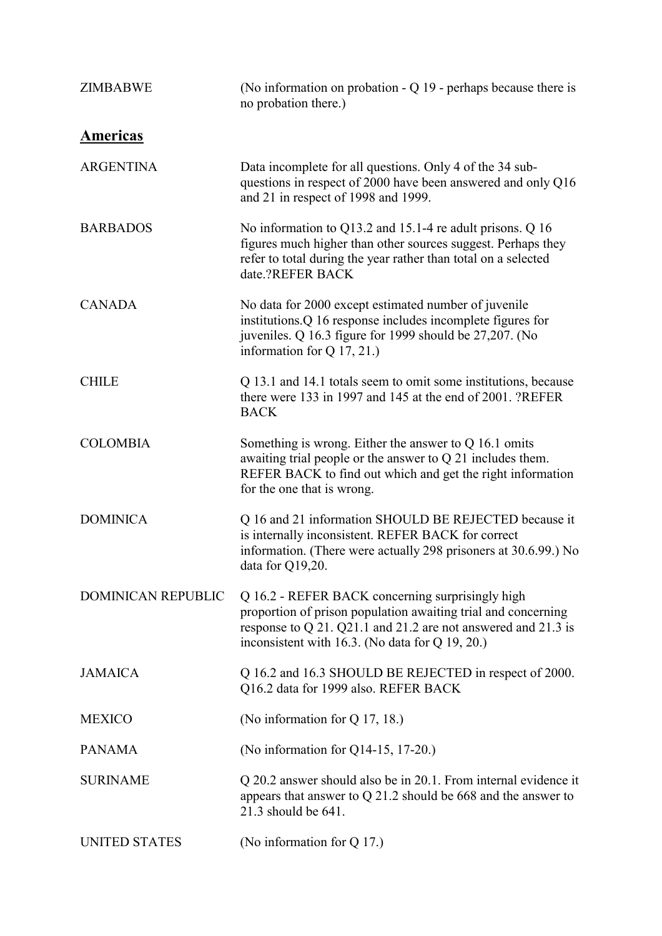| <b>ZIMBABWE</b>           | (No information on probation $-Q$ 19 - perhaps because there is<br>no probation there.)                                                                                                                                               |
|---------------------------|---------------------------------------------------------------------------------------------------------------------------------------------------------------------------------------------------------------------------------------|
| <u>Americas</u>           |                                                                                                                                                                                                                                       |
| <b>ARGENTINA</b>          | Data incomplete for all questions. Only 4 of the 34 sub-<br>questions in respect of 2000 have been answered and only Q16<br>and 21 in respect of 1998 and 1999.                                                                       |
| <b>BARBADOS</b>           | No information to Q13.2 and 15.1-4 re adult prisons. Q 16<br>figures much higher than other sources suggest. Perhaps they<br>refer to total during the year rather than total on a selected<br>date.?REFER BACK                       |
| <b>CANADA</b>             | No data for 2000 except estimated number of juvenile<br>institutions.Q 16 response includes incomplete figures for<br>juveniles. Q 16.3 figure for 1999 should be 27,207. (No<br>information for $Q$ 17, 21.)                         |
| <b>CHILE</b>              | Q 13.1 and 14.1 totals seem to omit some institutions, because<br>there were 133 in 1997 and 145 at the end of 2001. ?REFER<br><b>BACK</b>                                                                                            |
| <b>COLOMBIA</b>           | Something is wrong. Either the answer to $Q$ 16.1 omits<br>awaiting trial people or the answer to $Q$ 21 includes them.<br>REFER BACK to find out which and get the right information<br>for the one that is wrong.                   |
| <b>DOMINICA</b>           | Q 16 and 21 information SHOULD BE REJECTED because it<br>is internally inconsistent. REFER BACK for correct<br>information. (There were actually 298 prisoners at 30.6.99.) No<br>data for Q19,20.                                    |
| <b>DOMINICAN REPUBLIC</b> | Q 16.2 - REFER BACK concerning surprisingly high<br>proportion of prison population awaiting trial and concerning<br>response to Q 21. Q21.1 and 21.2 are not answered and 21.3 is<br>inconsistent with 16.3. (No data for Q 19, 20.) |
| <b>JAMAICA</b>            | Q 16.2 and 16.3 SHOULD BE REJECTED in respect of 2000.<br>Q16.2 data for 1999 also. REFER BACK                                                                                                                                        |
| <b>MEXICO</b>             | (No information for $Q$ 17, 18.)                                                                                                                                                                                                      |
| <b>PANAMA</b>             | (No information for Q14-15, 17-20.)                                                                                                                                                                                                   |
| <b>SURINAME</b>           | Q 20.2 answer should also be in 20.1. From internal evidence it<br>appears that answer to $Q$ 21.2 should be 668 and the answer to<br>21.3 should be 641.                                                                             |
| <b>UNITED STATES</b>      | (No information for $Q$ 17.)                                                                                                                                                                                                          |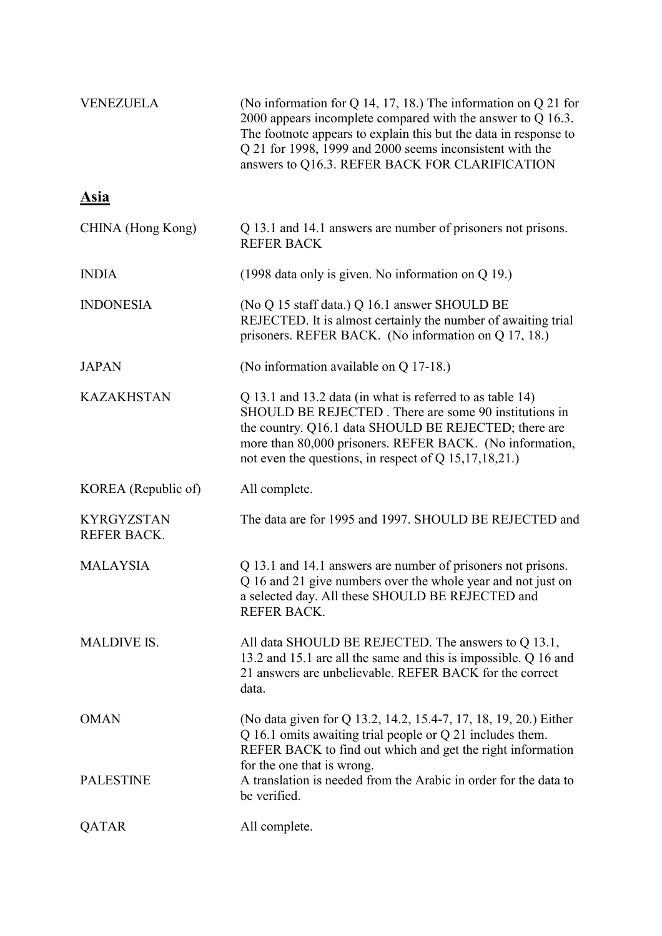| <b>VENEZUELA</b>                 | (No information for Q 14, 17, 18.) The information on Q 21 for<br>2000 appears incomplete compared with the answer to $Q$ 16.3.<br>The footnote appears to explain this but the data in response to<br>Q 21 for 1998, 1999 and 2000 seems inconsistent with the<br>answers to Q16.3. REFER BACK FOR CLARIFICATION |
|----------------------------------|-------------------------------------------------------------------------------------------------------------------------------------------------------------------------------------------------------------------------------------------------------------------------------------------------------------------|
| <b>Asia</b>                      |                                                                                                                                                                                                                                                                                                                   |
| CHINA (Hong Kong)                | Q 13.1 and 14.1 answers are number of prisoners not prisons.<br><b>REFER BACK</b>                                                                                                                                                                                                                                 |
| <b>INDIA</b>                     | (1998 data only is given. No information on $Q$ 19.)                                                                                                                                                                                                                                                              |
| <b>INDONESIA</b>                 | (No Q 15 staff data.) Q 16.1 answer SHOULD BE<br>REJECTED. It is almost certainly the number of awaiting trial<br>prisoners. REFER BACK. (No information on Q 17, 18.)                                                                                                                                            |
| <b>JAPAN</b>                     | (No information available on Q 17-18.)                                                                                                                                                                                                                                                                            |
| <b>KAZAKHSTAN</b>                | Q 13.1 and 13.2 data (in what is referred to as table 14)<br>SHOULD BE REJECTED. There are some 90 institutions in<br>the country. Q16.1 data SHOULD BE REJECTED; there are<br>more than 80,000 prisoners. REFER BACK. (No information,<br>not even the questions, in respect of Q $15,17,18,21$ .                |
| KOREA (Republic of)              | All complete.                                                                                                                                                                                                                                                                                                     |
| <b>KYRGYZSTAN</b><br>REFER BACK. | The data are for 1995 and 1997. SHOULD BE REJECTED and                                                                                                                                                                                                                                                            |
| <b>MALAYSIA</b>                  | Q 13.1 and 14.1 answers are number of prisoners not prisons.<br>Q 16 and 21 give numbers over the whole year and not just on<br>a selected day. All these SHOULD BE REJECTED and<br><b>REFER BACK.</b>                                                                                                            |
| <b>MALDIVE IS.</b>               | All data SHOULD BE REJECTED. The answers to Q 13.1,<br>13.2 and 15.1 are all the same and this is impossible. Q 16 and<br>21 answers are unbelievable. REFER BACK for the correct<br>data.                                                                                                                        |
| <b>OMAN</b>                      | (No data given for Q 13.2, 14.2, 15.4-7, 17, 18, 19, 20.) Either<br>$Q$ 16.1 omits awaiting trial people or $Q$ 21 includes them.<br>REFER BACK to find out which and get the right information<br>for the one that is wrong.                                                                                     |
| <b>PALESTINE</b>                 | A translation is needed from the Arabic in order for the data to<br>be verified.                                                                                                                                                                                                                                  |
| QATAR                            | All complete.                                                                                                                                                                                                                                                                                                     |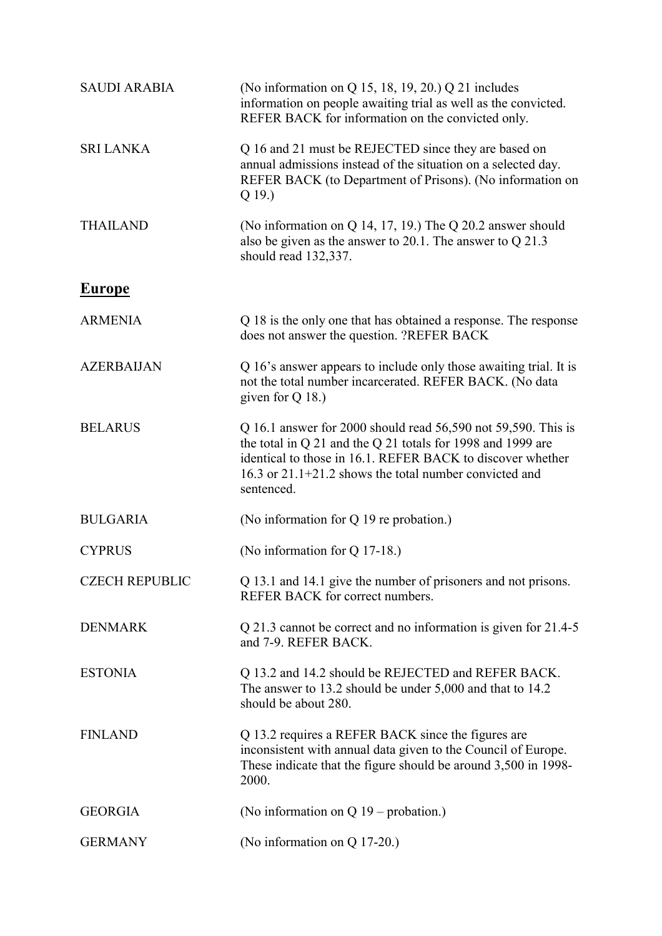| <b>SAUDI ARABIA</b>   | (No information on Q 15, 18, 19, 20.) Q 21 includes<br>information on people awaiting trial as well as the convicted.<br>REFER BACK for information on the convicted only.                                                                                           |
|-----------------------|----------------------------------------------------------------------------------------------------------------------------------------------------------------------------------------------------------------------------------------------------------------------|
| <b>SRI LANKA</b>      | Q 16 and 21 must be REJECTED since they are based on<br>annual admissions instead of the situation on a selected day.<br>REFER BACK (to Department of Prisons). (No information on<br>$Q_19.$                                                                        |
| <b>THAILAND</b>       | (No information on $Q$ 14, 17, 19.) The $Q$ 20.2 answer should<br>also be given as the answer to 20.1. The answer to $Q$ 21.3<br>should read 132,337.                                                                                                                |
| <b>Europe</b>         |                                                                                                                                                                                                                                                                      |
| <b>ARMENIA</b>        | Q 18 is the only one that has obtained a response. The response<br>does not answer the question. ?REFER BACK                                                                                                                                                         |
| <b>AZERBAIJAN</b>     | Q 16's answer appears to include only those awaiting trial. It is<br>not the total number incarcerated. REFER BACK. (No data<br>given for $Q$ 18.)                                                                                                                   |
| <b>BELARUS</b>        | Q 16.1 answer for 2000 should read 56,590 not 59,590. This is<br>the total in Q 21 and the Q 21 totals for 1998 and 1999 are<br>identical to those in 16.1. REFER BACK to discover whether<br>16.3 or $21.1+21.2$ shows the total number convicted and<br>sentenced. |
| <b>BULGARIA</b>       | (No information for Q 19 re probation.)                                                                                                                                                                                                                              |
| <b>CYPRUS</b>         | (No information for Q 17-18.)                                                                                                                                                                                                                                        |
| <b>CZECH REPUBLIC</b> | Q 13.1 and 14.1 give the number of prisoners and not prisons.<br>REFER BACK for correct numbers.                                                                                                                                                                     |
| <b>DENMARK</b>        | Q 21.3 cannot be correct and no information is given for 21.4-5<br>and 7-9. REFER BACK.                                                                                                                                                                              |
| <b>ESTONIA</b>        | Q 13.2 and 14.2 should be REJECTED and REFER BACK.<br>The answer to 13.2 should be under 5,000 and that to 14.2<br>should be about 280.                                                                                                                              |
| <b>FINLAND</b>        | Q 13.2 requires a REFER BACK since the figures are<br>inconsistent with annual data given to the Council of Europe.<br>These indicate that the figure should be around 3,500 in 1998-<br>2000.                                                                       |
| <b>GEORGIA</b>        | (No information on $Q$ 19 – probation.)                                                                                                                                                                                                                              |
| <b>GERMANY</b>        | (No information on Q 17-20.)                                                                                                                                                                                                                                         |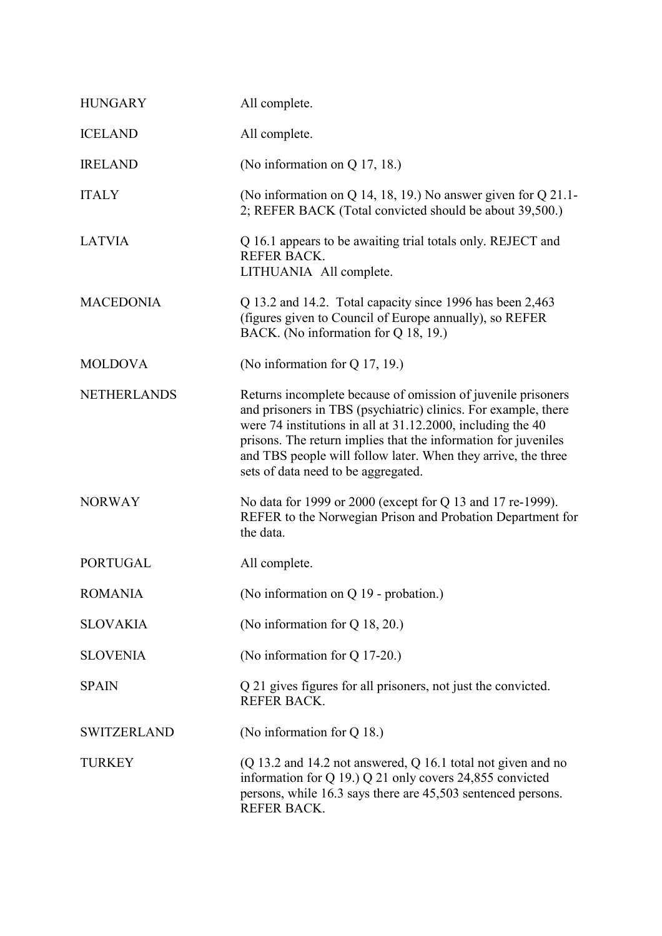| <b>HUNGARY</b>     | All complete.                                                                                                                                                                                                                                                                                                                                                           |
|--------------------|-------------------------------------------------------------------------------------------------------------------------------------------------------------------------------------------------------------------------------------------------------------------------------------------------------------------------------------------------------------------------|
| <b>ICELAND</b>     | All complete.                                                                                                                                                                                                                                                                                                                                                           |
| <b>IRELAND</b>     | (No information on Q 17, 18.)                                                                                                                                                                                                                                                                                                                                           |
| <b>ITALY</b>       | (No information on Q 14, 18, 19.) No answer given for $Q$ 21.1-<br>2; REFER BACK (Total convicted should be about 39,500.)                                                                                                                                                                                                                                              |
| <b>LATVIA</b>      | Q 16.1 appears to be awaiting trial totals only. REJECT and<br><b>REFER BACK.</b><br>LITHUANIA All complete.                                                                                                                                                                                                                                                            |
| <b>MACEDONIA</b>   | Q 13.2 and 14.2. Total capacity since 1996 has been 2,463<br>(figures given to Council of Europe annually), so REFER<br>BACK. (No information for Q 18, 19.)                                                                                                                                                                                                            |
| <b>MOLDOVA</b>     | (No information for $Q$ 17, 19.)                                                                                                                                                                                                                                                                                                                                        |
| <b>NETHERLANDS</b> | Returns incomplete because of omission of juvenile prisoners<br>and prisoners in TBS (psychiatric) clinics. For example, there<br>were 74 institutions in all at 31.12.2000, including the 40<br>prisons. The return implies that the information for juveniles<br>and TBS people will follow later. When they arrive, the three<br>sets of data need to be aggregated. |
| <b>NORWAY</b>      | No data for 1999 or 2000 (except for Q 13 and 17 re-1999).<br>REFER to the Norwegian Prison and Probation Department for<br>the data.                                                                                                                                                                                                                                   |
| <b>PORTUGAL</b>    | All complete.                                                                                                                                                                                                                                                                                                                                                           |
| <b>ROMANIA</b>     | (No information on Q 19 - probation.)                                                                                                                                                                                                                                                                                                                                   |
| <b>SLOVAKIA</b>    | (No information for Q 18, 20.)                                                                                                                                                                                                                                                                                                                                          |
| <b>SLOVENIA</b>    | (No information for Q 17-20.)                                                                                                                                                                                                                                                                                                                                           |
| <b>SPAIN</b>       | Q 21 gives figures for all prisoners, not just the convicted.<br><b>REFER BACK.</b>                                                                                                                                                                                                                                                                                     |
| <b>SWITZERLAND</b> | (No information for $Q$ 18.)                                                                                                                                                                                                                                                                                                                                            |
| <b>TURKEY</b>      | $(Q 13.2$ and 14.2 not answered, $Q 16.1$ total not given and no<br>information for Q 19.) Q 21 only covers 24,855 convicted<br>persons, while 16.3 says there are 45,503 sentenced persons.<br><b>REFER BACK.</b>                                                                                                                                                      |